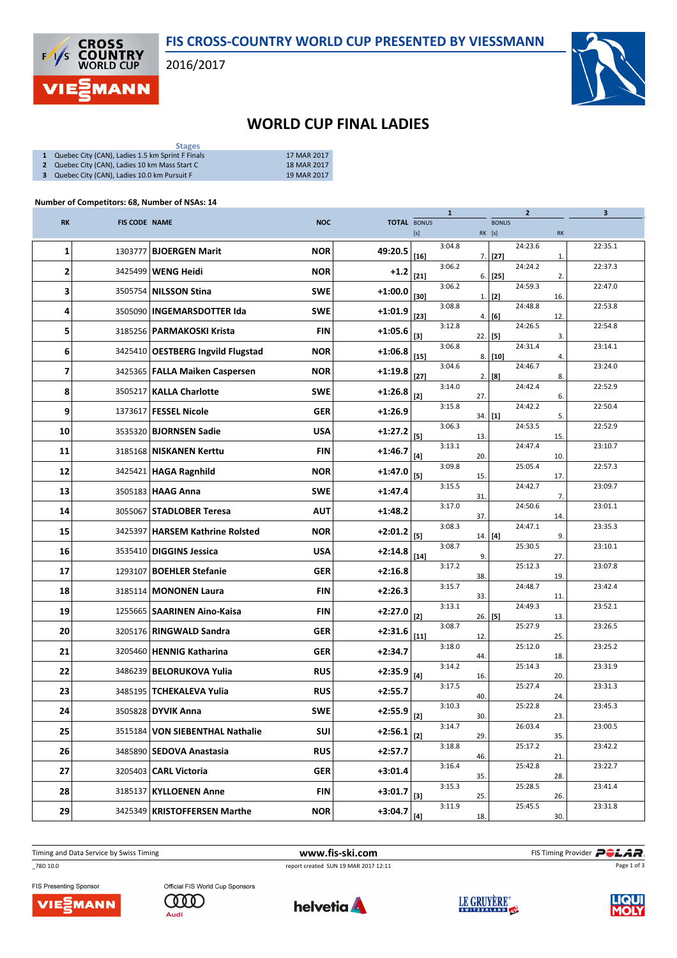

2016/2017



## WORLD CUP FINAL LADIES

| <b>Stages</b>                                      |             |
|----------------------------------------------------|-------------|
| 1 Quebec City (CAN), Ladies 1.5 km Sprint F Finals | 17 MAR 2017 |
| 2 Quebec City (CAN), Ladies 10 km Mass Start C     | 18 MAR 2017 |

3 Quebec City (CAN), Ladies 10.0 km Pursuit F 19 MAR 2017

## Number of Competitors: 68, Number of NSAs: 14

|           |                      |                                   |            |                    |                                                                                                                                                                                                                                    | $\mathbf{1}$ |          |              | $\mathbf{2}$ |     | 3       |
|-----------|----------------------|-----------------------------------|------------|--------------------|------------------------------------------------------------------------------------------------------------------------------------------------------------------------------------------------------------------------------------|--------------|----------|--------------|--------------|-----|---------|
| <b>RK</b> | <b>FIS CODE NAME</b> |                                   | <b>NOC</b> | <b>TOTAL BONUS</b> |                                                                                                                                                                                                                                    |              |          | <b>BONUS</b> |              |     |         |
|           |                      |                                   |            |                    | [s]                                                                                                                                                                                                                                |              | RK [s]   |              |              | RK  |         |
| 1         | 1303777              | <b>BJOERGEN Marit</b>             | <b>NOR</b> | 49:20.5            | $[16]$                                                                                                                                                                                                                             | 3:04.8       |          | $7.$ [27]    | 24:23.6      | 1.  | 22:35.1 |
| 2         |                      | 3425499   WENG Heidi              | <b>NOR</b> | $+1.2$             | $[21]$                                                                                                                                                                                                                             | 3:06.2       |          | $6.$ [25]    | 24:24.2      | 2.  | 22:37.3 |
| 3         |                      | 3505754   NILSSON Stina           | <b>SWE</b> | $+1:00.0$          | $[30]$                                                                                                                                                                                                                             | 3:06.2       |          |              | 24:59.3      |     | 22:47.0 |
| 4         |                      | 3505090   INGEMARSDOTTER Ida      | <b>SWE</b> | $+1:01.9$          |                                                                                                                                                                                                                                    | 3:08.8       | 1.1      | $[2]$        | 24:48.8      | 16. | 22:53.8 |
| 5         |                      | 3185256   PARMAKOSKI Krista       | <b>FIN</b> | $+1:05.6$          | $[23]$                                                                                                                                                                                                                             | 3:12.8       |          | 4.   [6]     | 24:26.5      | 12. | 22:54.8 |
|           |                      |                                   |            |                    | $[3]$                                                                                                                                                                                                                              | 3:06.8       | 22   [5] |              | 24:31.4      | 3.  | 23:14.1 |
| 6         |                      | 3425410 OESTBERG Ingvild Flugstad | <b>NOR</b> | $+1:06.8$          | $[15]$                                                                                                                                                                                                                             | 3:04.6       |          | $8.$ [10]    | 24:46.7      | 4.  | 23:24.0 |
| 7         |                      | 3425365   FALLA Maiken Caspersen  | <b>NOR</b> | $+1:19.8$          | $[27]$                                                                                                                                                                                                                             |              |          | 2.   [8]     |              | 8.  |         |
| 8         | 3505217              | <b>KALLA Charlotte</b>            | <b>SWE</b> | $+1:26.8$          | $[2]$                                                                                                                                                                                                                              | 3:14.0       | 27.      |              | 24:42.4      | 6.  | 22:52.9 |
| 9         | 1373617              | <b>FESSEL Nicole</b>              | <b>GER</b> | $+1:26.9$          |                                                                                                                                                                                                                                    | 3:15.8       | 34.      | $[1]$        | 24:42.2      | 5.  | 22:50.4 |
| 10        |                      | 3535320   <b>BJORNSEN Sadie</b>   | <b>USA</b> | $+1:27.2$          | [5]                                                                                                                                                                                                                                | 3:06.3       | 13.      |              | 24:53.5      | 15. | 22:52.9 |
| 11        |                      | 3185168   NISKANEN Kerttu         | <b>FIN</b> | $+1:46.7$          | $[4]$                                                                                                                                                                                                                              | 3:13.1       | 20.      |              | 24:47.4      | 10. | 23:10.7 |
| 12        | 3425421              | <b>HAGA Ragnhild</b>              | <b>NOR</b> | $+1:47.0$          | [5]                                                                                                                                                                                                                                | 3:09.8       | 15.      |              | 25:05.4      | 17. | 22:57.3 |
| 13        | 3505183              | <b>HAAG Anna</b>                  | <b>SWE</b> | $+1:47.4$          |                                                                                                                                                                                                                                    | 3:15.5       | 31.      |              | 24:42.7      | 7.  | 23:09.7 |
| 14        | 3055067              | <b>STADLOBER Teresa</b>           | <b>AUT</b> | $+1:48.2$          |                                                                                                                                                                                                                                    | 3:17.0       | 37.      |              | 24:50.6      | 14. | 23:01.1 |
| 15        | 3425397              | <b>HARSEM Kathrine Rolsted</b>    | <b>NOR</b> | $+2:01.2$          | [5]                                                                                                                                                                                                                                | 3:08.3       | 14.      |              | 24:47.1      | 9.  | 23:35.3 |
| 16        |                      | 3535410   DIGGINS Jessica         | <b>USA</b> | $+2:14.8$          | $[14]$                                                                                                                                                                                                                             | 3:08.7       | 9.       | $[4]$        | 25:30.5      | 27. | 23:10.1 |
| 17        | 1293107              | BOEHLER Stefanie                  | <b>GER</b> | $+2:16.8$          |                                                                                                                                                                                                                                    | 3:17.2       |          |              | 25:12.3      |     | 23:07.8 |
| 18        |                      | 3185114   MONONEN Laura           | <b>FIN</b> | $+2:26.3$          |                                                                                                                                                                                                                                    | 3:15.7       | 38       |              | 24:48.7      | 19. | 23:42.4 |
| 19        |                      | 1255665   SAARINEN Aino-Kaisa     | <b>FIN</b> | $+2:27.0$          |                                                                                                                                                                                                                                    | 3:13.1       | 33.      |              | 24:49.3      | 11. | 23:52.1 |
| 20        |                      | 3205176   RINGWALD Sandra         | <b>GER</b> | $+2:31.6$          | $[2]$                                                                                                                                                                                                                              | 3:08.7       | 26.      | $[5]$        | 25:27.9      | 13. | 23:26.5 |
| 21        |                      | 3205460   HENNIG Katharina        | <b>GER</b> | $+2:34.7$          | $[11]$                                                                                                                                                                                                                             | 3:18.0       | 12.      |              | 25:12.0      | 25. | 23:25.2 |
| 22        |                      | 3486239   BELORUKOVA Yulia        | <b>RUS</b> | $+2:35.9$          |                                                                                                                                                                                                                                    | 3:14.2       | 44.      |              | 25:14.3      | 18. | 23:31.9 |
| 23        |                      | 3485195   TCHEKALEVA Yulia        |            |                    | $[4] \centering% \includegraphics[width=1\textwidth]{images/TransY.pdf} \caption{The first two different values of $d=3$ and $d=4$ (left) and $d=5$ (right). The first two different values of $d=3$ (right). } \label{fig:class}$ | 3:17.5       | 16.      |              | 25:27.4      | 20. | 23:31.3 |
|           |                      |                                   | <b>RUS</b> | $+2:55.7$          |                                                                                                                                                                                                                                    | 3:10.3       | 40.      |              | 25:22.8      | 24. | 23:45.3 |
| 24        |                      | 3505828 DYVIK Anna                | <b>SWE</b> | $+2:55.9$          | $[2]$                                                                                                                                                                                                                              | 3:14.7       | 30.      |              | 26:03.4      | 23. | 23:00.5 |
| 25        |                      | 3515184 VON SIEBENTHAL Nathalie   | SUI        | $+2:56.1$          | $[2]$                                                                                                                                                                                                                              | 3:18.8       | 29.      |              | 25:17.2      | 35. | 23:42.2 |
| 26        |                      | 3485890 SEDOVA Anastasia          | <b>RUS</b> | $+2:57.7$          |                                                                                                                                                                                                                                    |              | 46.      |              |              | 21. |         |
| 27        |                      | 3205403   CARL Victoria           | <b>GER</b> | $+3:01.4$          |                                                                                                                                                                                                                                    | 3:16.4       | 35.      |              | 25:42.8      | 28. | 23:22.7 |
| 28        | 3185137              | <b>KYLLOENEN Anne</b>             | <b>FIN</b> | $+3:01.7$          | $[3]$                                                                                                                                                                                                                              | 3:15.3       | 25.      |              | 25:28.5      | 26. | 23:41.4 |
| 29        |                      | 3425349   KRISTOFFERSEN Marthe    | <b>NOR</b> | $+3:04.7$          | $[4]$                                                                                                                                                                                                                              | 3:11.9       | 18.      |              | 25:45.5      | 30. | 23:31.8 |

\_78D 10.0 report created SUN 19 MAR 2017 12:11

Timing and Data Service by Swiss Timing **WWW.fis-ski.com WWW.fis-Ski.com** FIS Timing Provider **PCLAR**. Page 1 of 3



Official FIS World Cup Sponsors **COOD** Audi





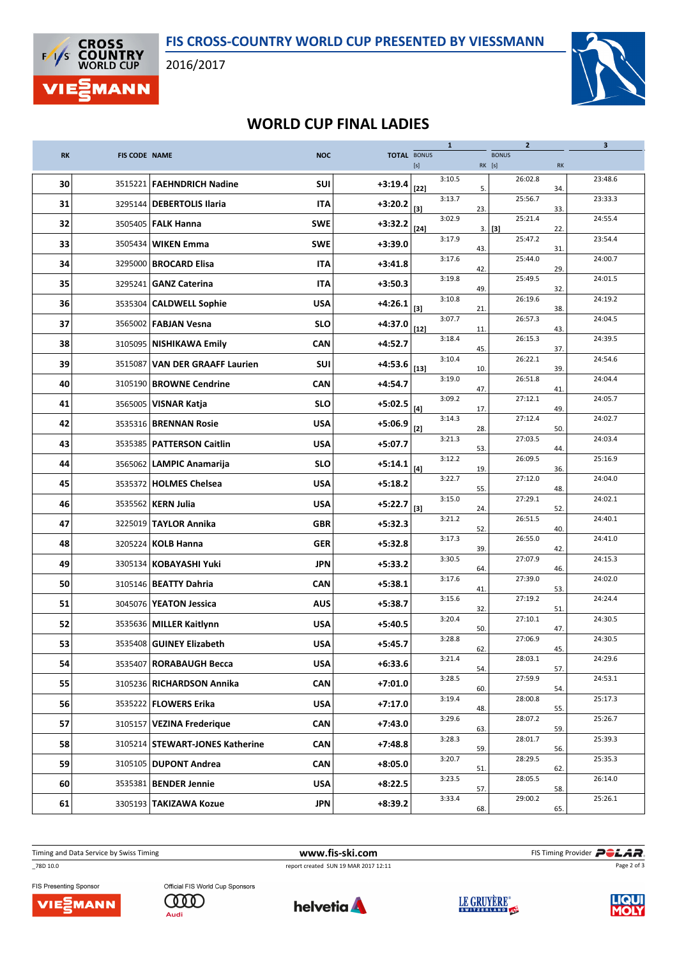

2016/2017



## WORLD CUP FINAL LADIES

|           |                      |                                 |            |                    |                                                                                                                                                                                                                                                                                                                                                                                                                                                                                                                                                                                                                                                                    | $\mathbf{1}$ |        | $\mathbf{2}$        |     | 3       |
|-----------|----------------------|---------------------------------|------------|--------------------|--------------------------------------------------------------------------------------------------------------------------------------------------------------------------------------------------------------------------------------------------------------------------------------------------------------------------------------------------------------------------------------------------------------------------------------------------------------------------------------------------------------------------------------------------------------------------------------------------------------------------------------------------------------------|--------------|--------|---------------------|-----|---------|
| <b>RK</b> | <b>FIS CODE NAME</b> |                                 | <b>NOC</b> | <b>TOTAL BONUS</b> | $[s] % \begin{center} % \includegraphics[width=\linewidth]{imagesSupplemental_3.png} % \end{center} % \caption { % \textit{DefNet} of the \textit{DefNet} dataset. % Note that the \textit{DefNet} and \textit{DefNet} dataset. % Note that the \textit{DefNet} and \textit{DefNet} dataset. % Note that the \textit{DefNet} and \textit{DefNet} dataset. % Note that the \textit{DefNet} and \textit{DefNet} dataset. % Note that the \textit{DefNet} and \textit{DefNet} dataset. % Note that the \textit{DefNet} and \textit{DefNet} dataset. % Note that the \textit{DefNet} and \textit{DefNet} dataset. % Note that the \textit{DefNet} and \textit{DefNet}$ |              | RK [s] | <b>BONUS</b>        | RK  |         |
| 30        |                      | 3515221 FAEHNDRICH Nadine       | <b>SUI</b> | $+3:19.4$          | $[22]$                                                                                                                                                                                                                                                                                                                                                                                                                                                                                                                                                                                                                                                             | 3:10.5       | 5.     | 26:02.8             | 34. | 23:48.6 |
| 31        |                      | 3295144   DEBERTOLIS Ilaria     | <b>ITA</b> | $+3:20.2$          | $[3]$                                                                                                                                                                                                                                                                                                                                                                                                                                                                                                                                                                                                                                                              | 3:13.7       | 23.    | 25:56.7             | 33. | 23:33.3 |
| 32        |                      | 3505405   FALK Hanna            | <b>SWE</b> | $+3:32.2$          | $[24]$                                                                                                                                                                                                                                                                                                                                                                                                                                                                                                                                                                                                                                                             | 3:02.9       |        | 25:21.4<br>$3.$ [3] | 22. | 24:55.4 |
| 33        |                      | 3505434 WIKEN Emma              | <b>SWE</b> | $+3:39.0$          |                                                                                                                                                                                                                                                                                                                                                                                                                                                                                                                                                                                                                                                                    | 3:17.9       | 43.    | 25:47.2             | 31  | 23:54.4 |
| 34        |                      | 3295000   BROCARD Elisa         | <b>ITA</b> | $+3:41.8$          |                                                                                                                                                                                                                                                                                                                                                                                                                                                                                                                                                                                                                                                                    | 3:17.6       | 42.    | 25:44.0             | 29. | 24:00.7 |
| 35        |                      | 3295241   GANZ Caterina         | <b>ITA</b> | $+3:50.3$          |                                                                                                                                                                                                                                                                                                                                                                                                                                                                                                                                                                                                                                                                    | 3:19.8       | 49.    | 25:49.5             | 32. | 24:01.5 |
| 36        |                      | 3535304 CALDWELL Sophie         | <b>USA</b> | $+4:26.1$          | $[3]$                                                                                                                                                                                                                                                                                                                                                                                                                                                                                                                                                                                                                                                              | 3:10.8       | 21.    | 26:19.6             | 38. | 24:19.2 |
| 37        |                      | 3565002   FABJAN Vesna          | <b>SLO</b> | $+4:37.0$          | $[12]$                                                                                                                                                                                                                                                                                                                                                                                                                                                                                                                                                                                                                                                             | 3:07.7       | 11.    | 26:57.3             | 43. | 24:04.5 |
| 38        | 3105095              | NISHIKAWA Emily                 | <b>CAN</b> | $+4:52.7$          |                                                                                                                                                                                                                                                                                                                                                                                                                                                                                                                                                                                                                                                                    | 3:18.4       | 45.    | 26:15.3             | 37. | 24:39.5 |
| 39        | 3515087              | <b>VAN DER GRAAFF Laurien</b>   | <b>SUI</b> | $+4:53.6$          | $[13]$                                                                                                                                                                                                                                                                                                                                                                                                                                                                                                                                                                                                                                                             | 3:10.4       | 10.    | 26:22.1             | 39. | 24:54.6 |
| 40        | 3105190              | <b>BROWNE Cendrine</b>          | CAN        | $+4:54.7$          |                                                                                                                                                                                                                                                                                                                                                                                                                                                                                                                                                                                                                                                                    | 3:19.0       | 47.    | 26:51.8             | 41  | 24:04.4 |
| 41        | 3565005              | <b>VISNAR Katja</b>             | <b>SLO</b> | $+5:02.5$          | $[4]$                                                                                                                                                                                                                                                                                                                                                                                                                                                                                                                                                                                                                                                              | 3:09.2       | 17.    | 27:12.1             | 49  | 24:05.7 |
| 42        |                      | 3535316   BRENNAN Rosie         | <b>USA</b> | $+5:06.9$          | $[2]$                                                                                                                                                                                                                                                                                                                                                                                                                                                                                                                                                                                                                                                              | 3:14.3       | 28.    | 27:12.4             | 50. | 24:02.7 |
| 43        | 3535385              | <b>PATTERSON Caitlin</b>        | <b>USA</b> | $+5:07.7$          |                                                                                                                                                                                                                                                                                                                                                                                                                                                                                                                                                                                                                                                                    | 3:21.3       | 53.    | 27:03.5             | 44  | 24:03.4 |
| 44        | 3565062              | <b>LAMPIC Anamarija</b>         | <b>SLO</b> | $+5:14.1$          | $[4]$                                                                                                                                                                                                                                                                                                                                                                                                                                                                                                                                                                                                                                                              | 3:12.2       | 19.    | 26:09.5             | 36. | 25:16.9 |
| 45        | 3535372              | <b>HOLMES Chelsea</b>           | <b>USA</b> | $+5:18.2$          |                                                                                                                                                                                                                                                                                                                                                                                                                                                                                                                                                                                                                                                                    | 3:22.7       | 55.    | 27:12.0             | 48. | 24:04.0 |
| 46        | 3535562              | <b>KERN Julia</b>               | <b>USA</b> | $+5:22.7$          | $[3]$                                                                                                                                                                                                                                                                                                                                                                                                                                                                                                                                                                                                                                                              | 3:15.0       | 24.    | 27:29.1             | 52. | 24:02.1 |
| 47        |                      | 3225019 TAYLOR Annika           | <b>GBR</b> | $+5:32.3$          |                                                                                                                                                                                                                                                                                                                                                                                                                                                                                                                                                                                                                                                                    | 3:21.2       | 52.    | 26:51.5             | 40. | 24:40.1 |
| 48        |                      | 3205224   KOLB Hanna            | <b>GER</b> | $+5:32.8$          |                                                                                                                                                                                                                                                                                                                                                                                                                                                                                                                                                                                                                                                                    | 3:17.3       | 39.    | 26:55.0             | 42. | 24:41.0 |
| 49        |                      | 3305134   KOBAYASHI Yuki        | JPN        | $+5:33.2$          |                                                                                                                                                                                                                                                                                                                                                                                                                                                                                                                                                                                                                                                                    | 3:30.5       | 64.    | 27:07.9             | 46. | 24:15.3 |
| 50        |                      | 3105146   <b>BEATTY Dahria</b>  | <b>CAN</b> | $+5:38.1$          |                                                                                                                                                                                                                                                                                                                                                                                                                                                                                                                                                                                                                                                                    | 3:17.6       | 41.    | 27:39.0             | 53. | 24:02.0 |
| 51        |                      | 3045076 YEATON Jessica          | <b>AUS</b> | $+5:38.7$          |                                                                                                                                                                                                                                                                                                                                                                                                                                                                                                                                                                                                                                                                    | 3:15.6       | 32.    | 27:19.2             | 51. | 24:24.4 |
| 52        | 3535636              | <b>MILLER Kaitlynn</b>          | <b>USA</b> | $+5:40.5$          |                                                                                                                                                                                                                                                                                                                                                                                                                                                                                                                                                                                                                                                                    | 3:20.4       | 50.    | 27:10.1             | 47. | 24:30.5 |
| 53        |                      | 3535408 GUINEY Elizabeth        | <b>USA</b> | $+5:45.7$          |                                                                                                                                                                                                                                                                                                                                                                                                                                                                                                                                                                                                                                                                    | 3:28.8       | 62.    | 27:06.9             | 45. | 24:30.5 |
| 54        | 3535407              | <b>RORABAUGH Becca</b>          | <b>USA</b> | $+6:33.6$          |                                                                                                                                                                                                                                                                                                                                                                                                                                                                                                                                                                                                                                                                    | 3:21.4       | 54.    | 28:03.1             | 57. | 24:29.6 |
| 55        |                      | 3105236 RICHARDSON Annika       | <b>CAN</b> | $+7:01.0$          |                                                                                                                                                                                                                                                                                                                                                                                                                                                                                                                                                                                                                                                                    | 3:28.5       | 60.    | 27:59.9             | 54. | 24:53.1 |
| 56        |                      | 3535222   FLOWERS Erika         | <b>USA</b> | $+7:17.0$          |                                                                                                                                                                                                                                                                                                                                                                                                                                                                                                                                                                                                                                                                    | 3:19.4       | 48.    | 28:00.8             | 55. | 25:17.3 |
| 57        |                      | 3105157 VEZINA Frederique       | <b>CAN</b> | $+7:43.0$          |                                                                                                                                                                                                                                                                                                                                                                                                                                                                                                                                                                                                                                                                    | 3:29.6       | 63.    | 28:07.2             | 59. | 25:26.7 |
| 58        |                      | 3105214 STEWART-JONES Katherine | <b>CAN</b> | $+7:48.8$          |                                                                                                                                                                                                                                                                                                                                                                                                                                                                                                                                                                                                                                                                    | 3:28.3       | 59.    | 28:01.7             | 56. | 25:39.3 |
| 59        | 3105105              | <b>DUPONT Andrea</b>            | <b>CAN</b> | $+8:05.0$          |                                                                                                                                                                                                                                                                                                                                                                                                                                                                                                                                                                                                                                                                    | 3:20.7       | 51.    | 28:29.5             | 62. | 25:35.3 |
| 60        |                      | 3535381 BENDER Jennie           | <b>USA</b> | $+8:22.5$          |                                                                                                                                                                                                                                                                                                                                                                                                                                                                                                                                                                                                                                                                    | 3:23.5       | 57.    | 28:05.5             | 58. | 26:14.0 |
| 61        | 3305193              | <b>TAKIZAWA Kozue</b>           | <b>JPN</b> | $+8:39.2$          |                                                                                                                                                                                                                                                                                                                                                                                                                                                                                                                                                                                                                                                                    | 3:33.4       | 68.    | 29:00.2             | 65. | 25:26.1 |

Timing and Data Service by Swiss Timing **WWW.fis-ski.com WWW.fis-Ski.com** FIS Timing Provider **PCLAR**.

\_78D 10.0 report created SUN 19 MAR 2017 12:11

Page 2 of 3



Official FIS World Cup Sponsors **COOD** Audi